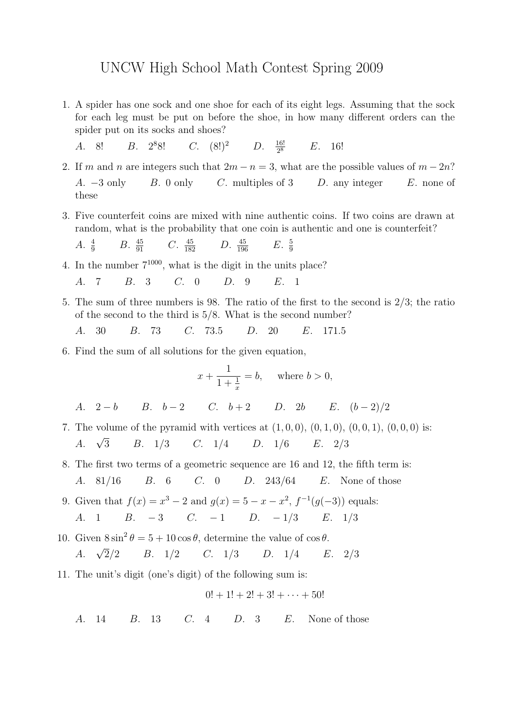## UNCW High School Math Contest Spring 2009

- 1. A spider has one sock and one shoe for each of its eight legs. Assuming that the sock for each leg must be put on before the shoe, in how many different orders can the spider put on its socks and shoes?
	- A. 8! B. 2<sup>8</sup>8! C.  $(8!)^2$ D.  $\frac{16!}{28}$  $E.$  16!
- 2. If m and n are integers such that  $2m n = 3$ , what are the possible values of  $m 2n$ ? A.  $-3$  only B. 0 only C. multiples of 3 D. any integer E. none of these
- 3. Five counterfeit coins are mixed with nine authentic coins. If two coins are drawn at random, what is the probability that one coin is authentic and one is counterfeit?

A. 
$$
\frac{4}{9}
$$
 B.  $\frac{45}{91}$  C.  $\frac{45}{182}$  D.  $\frac{45}{196}$  E.  $\frac{5}{9}$ 

- 4. In the number  $7^{1000}$ , what is the digit in the units place?
	- A. 7 B. 3 C. 0 D. 9 E. 1
- 5. The sum of three numbers is 98. The ratio of the first to the second is 2/3; the ratio of the second to the third is 5/8. What is the second number?
	- A. 30 B. 73 C. 73.5 D. 20 E. 171.5
- 6. Find the sum of all solutions for the given equation,

$$
x + \frac{1}{1 + \frac{1}{x}} = b, \quad \text{where } b > 0,
$$

A. 
$$
2-b
$$
 B.  $b-2$  C.  $b+2$  D.  $2b$  E.  $(b-2)/2$ 

- 7. The volume of the pyramid with vertices at  $(1, 0, 0)$ ,  $(0, 1, 0)$ ,  $(0, 0, 1)$ ,  $(0, 0, 0)$  is: A.  $\sqrt{3}$ 3 B. 1/3 C. 1/4 D. 1/6 E. 2/3
- 8. The first two terms of a geometric sequence are 16 and 12, the fifth term is:
	- A. 81/16 B. 6 C. 0 D. 243/64 E. None of those
- 9. Given that  $f(x) = x^3 2$  and  $g(x) = 5 x x^2$ ,  $f^{-1}(g(-3))$  equals: A. 1 B.  $-3$  C.  $-1$  D.  $-1/3$  E.  $1/3$
- 10. Given  $8\sin^2\theta = 5 + 10\cos\theta$ , determine the value of  $\cos\theta$ . A.  $\sqrt{2}/2$ 2/2 B. 1/2 C. 1/3 D. 1/4 E. 2/3
- 11. The unit's digit (one's digit) of the following sum is:

$$
0! + 1! + 2! + 3! + \cdots + 50!
$$

A. 14 B. 13 C. 4 D. 3 E. None of those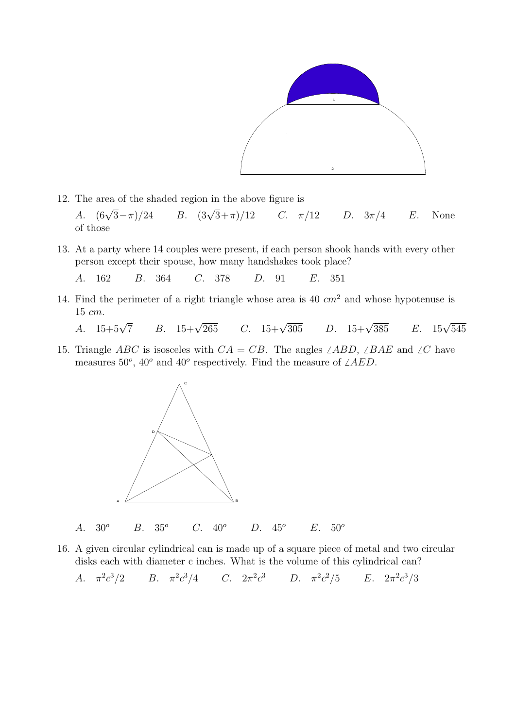

- 12. The area of the shaded region in the above figure is A.  $(6\sqrt{3} - \pi)/24$ B.  $(3\sqrt{3}+\pi)/12$  $C. \quad \pi/12$  D.  $3\pi/4$  E. None of those
- 13. At a party where 14 couples were present, if each person shook hands with every other person except their spouse, how many handshakes took place?
	- A. 162 B. 364 C. 378 D. 91 E. 351
- 14. Find the perimeter of a right triangle whose area is 40  $cm<sup>2</sup>$  and whose hypotenuse is 15 cm.
	- A.  $15+5\sqrt{7}$ B.  $15+\sqrt{265}$  $C. \quad 15+\sqrt{305}$ D.  $15+\sqrt{385}$  $\frac{1}{385}$  E.  $15\sqrt{545}$
- 15. Triangle ABC is isosceles with  $CA = CB$ . The angles  $\angle ABD$ ,  $\angle BAE$  and  $\angle C$  have measures 50<sup>o</sup>, 40<sup>o</sup> and 40<sup>o</sup> respectively. Find the measure of  $\angle AED$ .



- A.  $30^{\circ}$  B.  $35^{\circ}$  C.  $40^{\circ}$  D.  $45^{\circ}$  E.  $50^{\circ}$
- 16. A given circular cylindrical can is made up of a square piece of metal and two circular disks each with diameter c inches. What is the volume of this cylindrical can?

A.  $\pi^2 c$  $^{3}/2$  B.  $\pi^{2}c^{3}/4$  C.  $2\pi^{2}c^{3}$  D.  $\pi^{2}c^{2}/5$  E.  $2\pi^{2}c^{3}/3$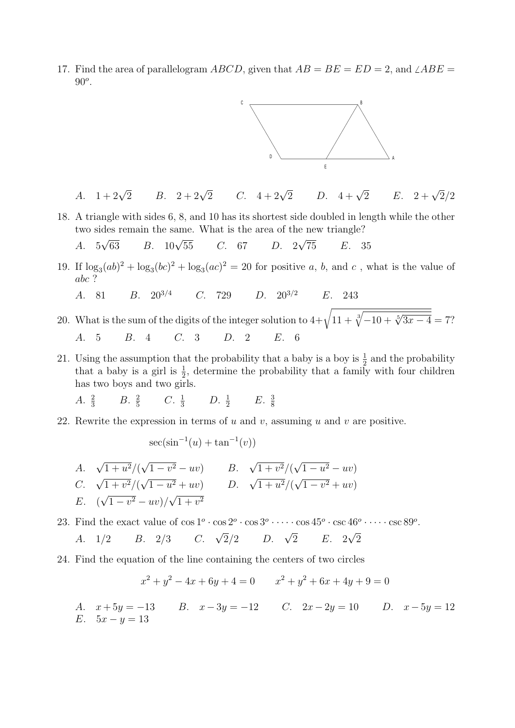17. Find the area of parallelogram ABCD, given that  $AB = BE = ED = 2$ , and  $\angle ABE =$  $90^o$ .



A. 
$$
1+2\sqrt{2}
$$
 B.  $2+2\sqrt{2}$  C.  $4+2\sqrt{2}$  D.  $4+\sqrt{2}$  E.  $2+\sqrt{2}/2$ 

- 18. A triangle with sides 6, 8, and 10 has its shortest side doubled in length while the other two sides remain the same. What is the area of the new triangle? √ √
	- A. 5  $B. \quad 10\sqrt{55}$ 55 C. 67 D. 2 75 E. 35
- 19. If  $\log_3(ab)^2 + \log_3(bc)^2 + \log_3(ac)^2 = 20$  for positive a, b, and c, what is the value of abc ?
	- A. 81 B.  $20^{3/4}$  C. 729 D.  $20^{3/2}$  E. 243
- 20. What is the sum of the digits of the integer solution to  $4+\sqrt{11+\frac{3}{V}}$  $\frac{\sqrt[3]{-10 + \sqrt[5]{3x - 4}}}{\sqrt[5]{-10 + \sqrt[5]{3x - 4}}} = 7$ ? A. 5 B. 4 C. 3 D. 2 E. 6
- 21. Using the assumption that the probability that a baby is a boy is  $\frac{1}{2}$  and the probability that a baby is a girl is  $\frac{1}{2}$ , determine the probability that a family with four children has two boys and two girls.
	- A.  $\frac{2}{3}$  $\frac{2}{3}$  B.  $\frac{2}{5}$  $\frac{2}{5}$  C.  $\frac{1}{3}$  D.  $\frac{1}{2}$  E.  $\frac{3}{8}$ 8
- 22. Rewrite the expression in terms of u and v, assuming u and v are positive.

$$
\sec(\sin^{-1}(u) + \tan^{-1}(v))
$$

A. 
$$
\sqrt{1+u^2}/(\sqrt{1-v^2}-uv)
$$
 B.  $\sqrt{1+v^2}/(\sqrt{1-u^2}-uv)$   
\nC.  $\sqrt{1+v^2}/(\sqrt{1-u^2}+uv)$  D.  $\sqrt{1+u^2}/(\sqrt{1-v^2}+uv)$   
\nE.  $(\sqrt{1-v^2}-uv)/\sqrt{1+v^2}$ 

23. Find the exact value of  $\cos 1^{\circ} \cdot \cos 2^{\circ} \cdot \cos 3^{\circ} \cdot \cdots \cdot \cos 45^{\circ} \cdot \csc 46^{\circ} \cdot \cdots \cdot \csc 89^{\circ}$ . A.  $1/2$  B.  $2/3$  C.  $\sqrt{2}/2$  D.  $\sqrt{2}$ 2 E. 2 √ 2

24. Find the equation of the line containing the centers of two circles

$$
x^{2} + y^{2} - 4x + 6y + 4 = 0 \qquad x^{2} + y^{2} + 6x + 4y + 9 = 0
$$

A.  $x + 5y = -13$  B.  $x - 3y = -12$  C.  $2x - 2y = 10$  D.  $x - 5y = 12$ E.  $5x - y = 13$